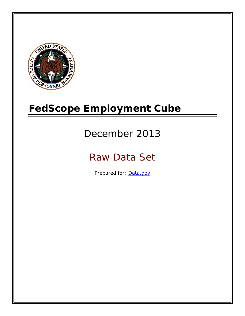

# **FedScope Employment Cube**

# December 2013

# Raw Data Set

Prepared for: [Data.gov](http://www.data.gov/)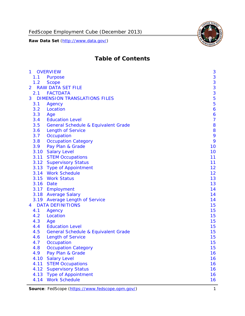FedScope Employment Cube (December 2013)

**Raw Data Set** (http://www.data.gov/)



# **Table of Contents**

| $\mathbf{1}$   | <b>OVERVIEW</b>                                | 3              |
|----------------|------------------------------------------------|----------------|
| 1.1            | Purpose                                        | 3              |
| 1.2            | <b>Scope</b>                                   | 3              |
| $\overline{2}$ | <b>RAW DATA SET FILE</b>                       | 3              |
| 2.1            | <b>FACTDATA</b>                                | 3              |
| 3              | <b>DIMENSION TRANSLATIONS FILES</b>            | 5              |
| 3.1            | Agency                                         | 5              |
| 3.2            | Location                                       | 6              |
| 3.3            | Age                                            | 6              |
| 3.4            | <b>Education Level</b>                         | $\overline{7}$ |
| 3.5            | <b>General Schedule &amp; Equivalent Grade</b> | 8              |
| 3.6            | <b>Length of Service</b>                       | 8              |
| 3.7            | Occupation                                     | 9              |
| 3.8            | <b>Occupation Category</b>                     | 9              |
| 3.9            | Pay Plan & Grade                               | 10             |
| 3.10           | <b>Salary Level</b>                            | 10             |
| 3.11           | <b>STEM Occupations</b>                        | 11             |
|                | 3.12 Supervisory Status                        | 11             |
|                | 3.13 Type of Appointment                       | 12             |
|                | 3.14 Work Schedule                             | 12             |
| 3.15           | <b>Work Status</b>                             | 13             |
| 3.16           | Date                                           | 13             |
|                | 3.17 Employment                                | 14             |
|                | 3.18 Average Salary                            | 14             |
|                | 3.19 Average Length of Service                 | 14             |
| 4              | <b>DATA DEFINITIONS</b>                        | 15             |
| 4.1            | Agency                                         | 15             |
| 4.2            | Location                                       | 15             |
| 4.3            | Age                                            | 15             |
| 4.4            | <b>Education Level</b>                         | 15             |
| 4.5            | <b>General Schedule &amp; Equivalent Grade</b> | 15             |
| 4.6            | <b>Length of Service</b>                       | 15             |
| 4.7            | Occupation                                     | 15             |
| 4.8            | <b>Occupation Category</b>                     | 15             |
| 4.9            | Pay Plan & Grade                               | 16             |
| 4.10           | <b>Salary Level</b>                            | 16             |
| 4.11           | <b>STEM Occupations</b>                        | 16             |
| 4.12           | <b>Supervisory Status</b>                      | 16             |
| 4.13           | <b>Type of Appointment</b>                     | 16             |
| 4.14           | <b>Work Schedule</b>                           | 16             |

Source: FedScope (https://www.fedscope.opm.gov/) 1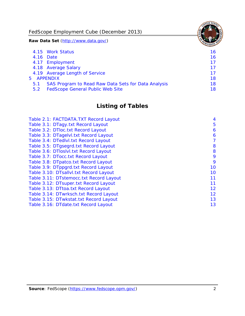FedScope Employment Cube (December 2013)

**Raw Data Set** (http://www.data.gov/)

|     | 4.15 Work Status                                    | 16 |
|-----|-----------------------------------------------------|----|
|     | 4.16 Date                                           | 16 |
|     | 4.17 Employment                                     | 17 |
|     | 4.18 Average Salary                                 | 17 |
|     | 4.19 Average Length of Service                      | 17 |
|     | 5 APPENDIX                                          | 18 |
| 5.1 | SAS Program to Read Raw Data Sets for Data Analysis | 18 |
| 5.2 | <b>FedScope General Public Web Site</b>             | 18 |

# **Listing of Tables**

| Table 2.1: FACTDATA.TXT Record Layout   | 4  |
|-----------------------------------------|----|
| Table 3.1: DTagy.txt Record Layout      | 5  |
| Table 3.2: DTloc.txt Record Layout      | 6  |
| Table 3.3: DTagelvl.txt Record Layout   | 6  |
| Table 3.4: DTedlvl.txt Record Layout    | 7  |
| Table 3.5: DTgsegrd.txt Record Layout   | 8  |
| Table 3.6: DTIoslyl.txt Record Layout   | 8  |
| Table 3.7: DTocc.txt Record Layout      | 9  |
| Table 3.8: DTpatco.txt Record Layout    | 9  |
| Table 3.9: DTppgrd.txt Record Layout    | 10 |
| Table 3.10: DTsallvl.txt Record Layout  | 10 |
| Table 3.11: DTstemocc.txt Record Layout | 11 |
| Table 3.12: DTsuper.txt Record Layout   | 11 |
| Table 3.13: DTtoa.txt Record Layout     | 12 |
| Table 3.14: DTwrksch.txt Record Layout  | 12 |
| Table 3.15: DTwkstat.txt Record Layout  | 13 |
| Table 3.16: DTdate.txt Record Layout    | 13 |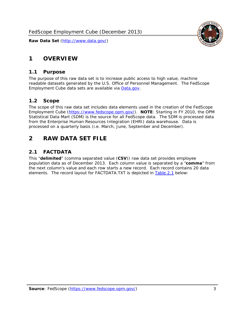# <span id="page-3-0"></span>**1 OVERVIEW**

#### *1.1 Purpose*

<span id="page-3-1"></span>The purpose of this raw data set is to increase public access to high value, machine readable datasets generated by the U.S. Office of Personnel Management. The FedScope Employment Cube data sets are available via [Data.gov](http://www.data.gov/).

## <span id="page-3-2"></span>*1.2 Scope*

The scope of this raw data set includes data elements used in the creation of the FedScope Employment Cube [\(https://www.fedscope.opm.gov/\)](https://www.fedscope.opm.gov/). **NOTE**: Starting in FY 2010, the OPM Statistical Data Mart (SDM) is the source for all FedScope data. The SDM is processed data from the Enterprise Human Resources Integration (EHRI) data warehouse. Data is processed on a quarterly basis (i.e. March, June, September and December).

# <span id="page-3-3"></span>**2 RAW DATA SET FILE**

# <span id="page-3-4"></span>*2.1 FACTDATA*

This "**delimited**" (comma separated value (**CSV**)) raw data set provides employee population data as of December 2013. Each column value is separated by a "**comma**" from the next column's value and each row starts a new record. Each record contains 20 data elements. The record layout for FACTDATA.TXT is depicted in [Table 2.1](#page-4-1) below:

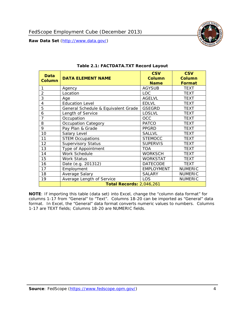

<span id="page-4-1"></span><span id="page-4-0"></span>

| <b>Data</b><br><b>Column</b> | <b>DATA ELEMENT NAME</b>            | <b>CSV</b><br><b>Column</b><br><b>Name</b> | <b>CSV</b><br><b>Column</b><br>Format |
|------------------------------|-------------------------------------|--------------------------------------------|---------------------------------------|
| 1                            | Agency                              | <b>AGYSUB</b>                              | <b>TEXT</b>                           |
| $\overline{2}$               | Location                            | <b>LOC</b>                                 | <b>TEXT</b>                           |
| 3                            | Age                                 | <b>AGELVL</b>                              | <b>TEXT</b>                           |
| 4                            | <b>Education Level</b>              | <b>EDLVL</b>                               | <b>TEXT</b>                           |
| 5                            | General Schedule & Equivalent Grade | <b>GSEGRD</b>                              | <b>TEXT</b>                           |
| 6                            | Length of Service                   | <b>LOSLVL</b>                              | <b>TEXT</b>                           |
| 7                            | Occupation                          | OCC                                        | <b>TEXT</b>                           |
| 8                            | Occupation Category                 | <b>PATCO</b>                               | <b>TEXT</b>                           |
| 9                            | Pay Plan & Grade                    | <b>PPGRD</b>                               | <b>TEXT</b>                           |
| 10                           | Salary Level                        | <b>SALLVL</b>                              | <b>TEXT</b>                           |
| 11                           | <b>STEM Occupations</b>             | <b>STEMOCC</b>                             | <b>TEXT</b>                           |
| 12                           | <b>Supervisory Status</b>           | <b>SUPERVIS</b>                            | <b>TEXT</b>                           |
| 13                           | Type of Appointment                 | <b>TOA</b>                                 | <b>TEXT</b>                           |
| 14                           | Work Schedule                       | <b>WORKSCH</b>                             | <b>TEXT</b>                           |
| 15                           | <b>Work Status</b>                  | <b>WORKSTAT</b>                            | <b>TEXT</b>                           |
| 16                           | Date (e.g. 201312)                  | <b>DATECODE</b>                            | <b>TEXT</b>                           |
| 17                           | Employment                          | <b>EMPLOYMENT</b>                          | <b>NUMERIC</b>                        |
| 18                           | Average Salary                      | <b>SALARY</b>                              | <b>NUMERIC</b>                        |
| 19                           | Average Length of Service           | <b>LOS</b>                                 | <b>NUMERIC</b>                        |
|                              | <b>Total Records: 2,046,261</b>     |                                            |                                       |

#### **Table 2.1: FACTDATA.TXT Record Layout**

**NOTE**: If importing this table (data set) into Excel, change the "column data format" for columns 1-17 from "General" to "Text". Columns 18-20 can be imported as "General" data format. In Excel, the "General" data format converts numeric values to numbers. Columns 1-17 are TEXT fields; Columns 18-20 are NUMERIC fields.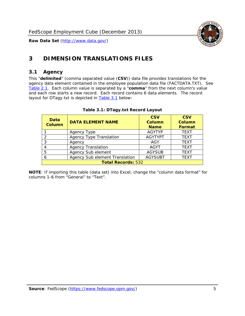

# <span id="page-5-0"></span>**3 DIMENSION TRANSLATIONS FILES**

#### <span id="page-5-1"></span>*3.1 Agency*

<span id="page-5-3"></span><span id="page-5-2"></span>This "**delimited**" (comma separated value (**CSV**)) data file provides translations for the agency data element contained in the employee population data file (FACTDATA.TXT). See [Table 2.1.](#page-4-1) Each column value is separated by a "**comma**" from the next column's value and each row starts a new record. Each record contains 6 data elements. The record layout for DTagy.txt is depicted in [Table 3.1](#page-5-3) below:

| Data<br><b>Column</b>     | <b>DATA ELEMENT NAME</b>       | <b>CSV</b><br><b>Column</b><br><b>Name</b> | <b>CSV</b><br>Column<br><b>Format</b> |
|---------------------------|--------------------------------|--------------------------------------------|---------------------------------------|
|                           | Agency Type                    | <b>AGYTYP</b>                              | <b>TEXT</b>                           |
| 2                         | <b>Agency Type Translation</b> | <b>AGYTYPT</b>                             | <b>TEXT</b>                           |
| 3                         | Agency                         | AGY                                        | <b>TEXT</b>                           |
|                           | <b>Agency Translation</b>      | <b>AGYT</b>                                | <b>TEXT</b>                           |
| -5                        | Agency Sub element             | <b>AGYSUB</b>                              | <b>TEXT</b>                           |
|                           | Agency Sub element Translation | <b>AGYSUBT</b>                             | <b>TEXT</b>                           |
| <b>Total Records: 532</b> |                                |                                            |                                       |

#### **Table 3.1: DTagy.txt Record Layout**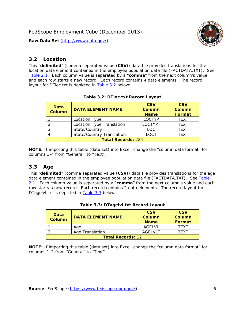

#### <span id="page-6-0"></span>*3.2 Location*

<span id="page-6-4"></span><span id="page-6-2"></span>This "**delimited**" (comma separated value (**CSV**)) data file provides translations for the location data element contained in the employee population data file (FACTDATA.TXT). See [Table 2.1.](#page-4-1) Each column value is separated by a "**comma**" from the next column's value and each row starts a new record. Each record contains 4 data elements. The record layout for DTloc.txt is depicted in [Table 3.2](#page-6-4) below:

| Data<br><b>Column</b>     | <b>DATA ELEMENT NAME</b>         | <b>CSV</b><br>Column<br><b>Name</b> | <b>CSV</b><br><b>Column</b><br><b>Format</b> |
|---------------------------|----------------------------------|-------------------------------------|----------------------------------------------|
|                           | Location Type                    | <b>LOCTYP</b>                       | <b>TEXT</b>                                  |
|                           | Location Type Translation        | <b>LOCTYPT</b>                      | <b>TFXT</b>                                  |
| ⌒                         | State/Country                    | LOC.                                | <b>TEXT</b>                                  |
|                           | <b>State/Country Translation</b> | LOCT                                | <b>TFXT</b>                                  |
| <b>Total Records: 224</b> |                                  |                                     |                                              |

#### **Table 3.2: DTloc.txt Record Layout**

**NOTE**: If importing this table (data set) into Excel, change the "column data format" for columns 1-4 from "General" to "Text".

#### <span id="page-6-1"></span>*3.3 Age*

<span id="page-6-5"></span><span id="page-6-3"></span>This "**delimited**" (comma separated value (**CSV**)) data file provides translations for the age data element contained in the employee population data file (FACTDATA.TXT). See [Table](#page-4-1) [2.1](#page-4-1). Each column value is separated by a "**comma**" from the next column's value and each row starts a new record. Each record contains 2 data elements. The record layout for DTagelvl.txt is depicted in **[Table 3.3](#page-6-5)** below:

| Data<br>Column           | <b>DATA ELEMENT NAME</b> | <b>CSV</b><br>Column<br><b>Name</b> | <b>CSV</b><br>Column<br><b>Format</b> |
|--------------------------|--------------------------|-------------------------------------|---------------------------------------|
|                          | Aae                      | AGFI VI                             | TFXT                                  |
|                          | Age Translation          | AGFI VI T                           | TFXT                                  |
| <b>Total Records: 12</b> |                          |                                     |                                       |

#### **Table 3.3: DTagelvl.txt Record Layout**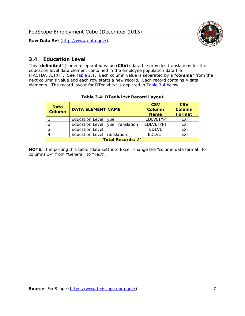

### <span id="page-7-0"></span>*3.4 Education Level*

<span id="page-7-2"></span><span id="page-7-1"></span>This "**delimited**" (comma separated value (**CSV**)) data file provides translations for the education level data element contained in the employee population data file (FACTDATA.TXT). See [Table 2.1](#page-4-1). Each column value is separated by a "**comma**" from the next column's value and each row starts a new record. Each record contains 4 data elements. The record layout for DTedlvl.txt is depicted in [Table 3.4](#page-7-2) below:

| Data<br><b>Column</b>    | <b>DATA ELEMENT NAME</b>           | <b>CSV</b><br><b>Column</b><br><b>Name</b> | <b>CSV</b><br><b>Column</b><br><b>Format</b> |
|--------------------------|------------------------------------|--------------------------------------------|----------------------------------------------|
|                          | <b>Education Level Type</b>        | <b>EDLVLTYP</b>                            | <b>TEXT</b>                                  |
|                          | Education Level Type Translation   | <b>EDLVLTYPT</b>                           | <b>TEXT</b>                                  |
|                          | <b>Education Level</b>             | <b>EDLVL</b>                               | <b>TEXT</b>                                  |
|                          | <b>Education Level Translation</b> | <b>EDLVLT</b>                              | <b>TEXT</b>                                  |
| <b>Total Records: 24</b> |                                    |                                            |                                              |

#### **Table 3.4: DTedlvl.txt Record Layout**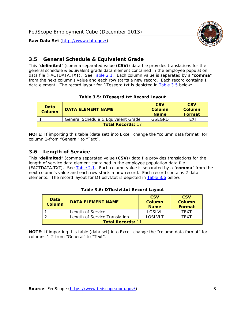

<span id="page-8-0"></span>

This "**delimited**" (comma separated value (**CSV**)) data file provides translations for the general schedule & equivalent grade data element contained in the employee population data file (FACTDATA.TXT). See [Table 2.1](#page-4-1). Each column value is separated by a "**comma**" from the next column's value and each row starts a new record. Each record contains 1 data element. The record layout for DTgsegrd.txt is depicted in [Table 3.5](#page-8-4) below:

#### **Table 3.5: DTgsegrd.txt Record Layout**

<span id="page-8-4"></span><span id="page-8-2"></span>

| Data<br>Column           | <b>DATA ELEMENT NAME</b>            | <b>CSV</b><br>Column<br><b>Name</b> | <b>CSV</b><br>Column<br>Format |
|--------------------------|-------------------------------------|-------------------------------------|--------------------------------|
|                          | General Schedule & Equivalent Grade | GSFGRD                              | <b>TFXT</b>                    |
| <b>Total Records: 17</b> |                                     |                                     |                                |

**NOTE**: If importing this table (data set) into Excel, change the "column data format" for column 1-from "General" to "Text".

#### <span id="page-8-1"></span>*3.6 Length of Service*

<span id="page-8-5"></span><span id="page-8-3"></span>This "**delimited**" (comma separated value (**CSV**)) data file provides translations for the length of service data element contained in the employee population data file (FACTDATA.TXT). See [Table 2.1](#page-4-1). Each column value is separated by a "**comma**" from the next column's value and each row starts a new record. Each record contains 2 data elements. The record layout for DTloslvl.txt is depicted in [Table 3.6](#page-8-5) below:

| <b>Data</b><br>Column    | <b>DATA FI FMFNT NAMF</b>     | <b>CSV</b><br>Column<br><b>Name</b> | <b>CSV</b><br>Column<br>Format |
|--------------------------|-------------------------------|-------------------------------------|--------------------------------|
|                          | Length of Service             | LOSLVL                              | TFXT                           |
|                          | Length of Service Translation | LOSI VLT                            | TFXT                           |
| <b>Total Records: 11</b> |                               |                                     |                                |

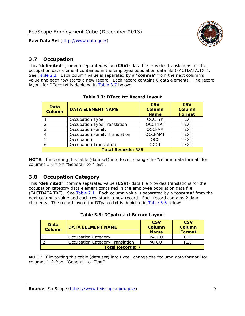

#### <span id="page-9-0"></span>*3.7 Occupation*

<span id="page-9-4"></span>This "**delimited**" (comma separated value (**CSV**)) data file provides translations for the occupation data element contained in the employee population data file (FACTDATA.TXT). See [Table 2.1](#page-4-1). Each column value is separated by a "**comma**" from the next column's value and each row starts a new record. Each record contains 6 data elements. The record layout for DTocc.txt is depicted in [Table 3.7](#page-9-4) below:

<span id="page-9-2"></span>

| Data<br><b>Column</b>     | <b>DATA ELEMENT NAME</b>             | <b>CSV</b><br>Column<br><b>Name</b> | <b>CSV</b><br>Column<br><b>Format</b> |
|---------------------------|--------------------------------------|-------------------------------------|---------------------------------------|
|                           | Occupation Type                      | <b>OCCTYP</b>                       | <b>TEXT</b>                           |
|                           | Occupation Type Translation          | <b>OCCTYPT</b>                      | <b>TEXT</b>                           |
| 3                         | <b>Occupation Family</b>             | <b>OCCFAM</b>                       | <b>TEXT</b>                           |
|                           | <b>Occupation Family Translation</b> | <b>OCCFAMT</b>                      | <b>TEXT</b>                           |
| 5                         | Occupation                           | <b>OCC</b>                          | <b>TEXT</b>                           |
|                           | <b>Occupation Translation</b>        | <b>OCCT</b>                         | <b>TEXT</b>                           |
| <b>Total Records: 686</b> |                                      |                                     |                                       |

#### **Table 3.7: DTocc.txt Record Layout**

**NOTE**: If importing this table (data set) into Excel, change the "column data format" for columns 1-6 from "General" to "Text".

#### <span id="page-9-1"></span>*3.8 Occupation Category*

<span id="page-9-5"></span>This "**delimited**" (comma separated value (**CSV**)) data file provides translations for the occupation category data element contained in the employee population data file (FACTDATA.TXT). See [Table 2.1](#page-4-1). Each column value is separated by a "**comma**" from the next column's value and each row starts a new record. Each record contains 2 data elements. The record layout for DTpatco.txt is depicted in [Table 3.8](#page-9-5) below:

<span id="page-9-3"></span>

| Data<br><b>Column</b>   | <b>DATA ELEMENT NAME</b>        | <b>CSV</b><br>Column<br><b>Name</b> | <b>CSV</b><br>Column<br>Format |  |
|-------------------------|---------------------------------|-------------------------------------|--------------------------------|--|
|                         | <b>Occupation Category</b>      | <b>PATCO</b>                        | <b>TFXT</b>                    |  |
|                         | Occupation Category Translation | <b>PATCOT</b>                       | TFXT                           |  |
| <b>Total Records: 7</b> |                                 |                                     |                                |  |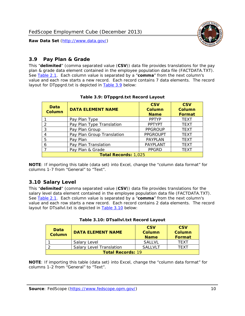

### <span id="page-10-0"></span>*3.9 Pay Plan & Grade*

<span id="page-10-4"></span>This "**delimited**" (comma separated value (**CSV**)) data file provides translations for the pay plan & grade data element contained in the employee population data file (FACTDATA.TXT). See [Table 2.1](#page-4-1). Each column value is separated by a "**comma**" from the next column's value and each row starts a new record. Each record contains 7 data elements. The record layout for DTppgrd.txt is depicted in **Table 3.9** below:

<span id="page-10-2"></span>

| Data<br>Column              | <b>DATA ELEMENT NAME</b>   | <b>CSV</b><br>Column<br><b>Name</b> | <b>CSV</b><br>Column<br><b>Format</b> |  |
|-----------------------------|----------------------------|-------------------------------------|---------------------------------------|--|
|                             | Pay Plan Type              | <b>PPTYP</b>                        | <b>TEXT</b>                           |  |
| $\mathcal{P}$               | Pay Plan Type Translation  | <b>PPTYPT</b>                       | <b>TEXT</b>                           |  |
| 3                           | Pay Plan Group             | <b>PPGROUP</b>                      | <b>TEXT</b>                           |  |
| 4                           | Pay Plan Group Translation | <b>PPGROUPT</b>                     | <b>TEXT</b>                           |  |
| 5                           | Pay Plan                   | <b>PAYPLAN</b>                      | <b>TEXT</b>                           |  |
| 6                           | Pay Plan Translation       | PAYPLANT                            | <b>TEXT</b>                           |  |
|                             | Pay Plan & Grade           | <b>PPGRD</b>                        | <b>TEXT</b>                           |  |
| <b>Total Records: 1,025</b> |                            |                                     |                                       |  |

#### **Table 3.9: DTppgrd.txt Record Layout**

**NOTE**: If importing this table (data set) into Excel, change the "column data format" for columns 1-7 from "General" to "Text".

## <span id="page-10-1"></span>*3.10 Salary Level*

<span id="page-10-5"></span><span id="page-10-3"></span>This "**delimited**" (comma separated value (**CSV**)) data file provides translations for the salary level data element contained in the employee population data file (FACTDATA.TXT). See [Table 2.1](#page-4-1). Each column value is separated by a "**comma**" from the next column's value and each row starts a new record. Each record contains 2 data elements. The record layout for DTsallvl.txt is depicted in [Table 3.10](#page-10-5) below:

| Data<br>Column           | <b>DATA ELEMENT NAME</b>        | <b>CSV</b><br>Column<br><b>Name</b> | <b>CSV</b><br>Column<br>Format |
|--------------------------|---------------------------------|-------------------------------------|--------------------------------|
|                          | Salary Level                    | <b>SALLVL</b>                       | <b>TFXT</b>                    |
|                          | <b>Salary Level Translation</b> | SAI I VI T                          | TFXT                           |
| <b>Total Records: 19</b> |                                 |                                     |                                |

| Table 3.10: DTsallvl.txt Record Layout |  |
|----------------------------------------|--|
|----------------------------------------|--|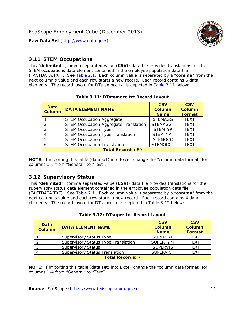

#### <span id="page-11-0"></span>*3.11 STEM Occupations*

<span id="page-11-4"></span>This "**delimited**" (comma separated value (**CSV**)) data file provides translations for the STEM occupations data element contained in the employee population data file (FACTDATA.TXT). See [Table 2.1](#page-4-1). Each column value is separated by a "**comma**" from the next column's value and each row starts a new record. Each record contains 6 data elements. The record layout for DTstemocc.txt is depicted in [Table 3.11](#page-11-4) below:

<span id="page-11-2"></span>

| <b>Data</b><br><b>Column</b> | <b>DATA ELEMENT NAME</b>                     | <b>CSV</b><br><b>Column</b><br><b>Name</b> | <b>CSV</b><br><b>Column</b><br>Format |  |  |
|------------------------------|----------------------------------------------|--------------------------------------------|---------------------------------------|--|--|
|                              | <b>STEM Occupation Aggregate</b>             | <b>STEMAGG</b>                             | <b>TEXT</b>                           |  |  |
|                              | <b>STEM Occupation Aggregate Translation</b> | <b>STEMAGGT</b>                            | <b>TEXT</b>                           |  |  |
| 3                            | <b>STEM Occupation Type</b>                  | <b>STEMTYP</b>                             | <b>TFXT</b>                           |  |  |
|                              | <b>STEM Occupation Type Translation</b>      | <b>STEMTYPT</b>                            | <b>TEXT</b>                           |  |  |
| 5                            | <b>STEM Occupation</b>                       | <b>STEMOCC</b>                             | <b>TEXT</b>                           |  |  |
|                              | <b>STEM Occupation Translation</b>           | <b>STEMOCCT</b>                            | <b>TEXT</b>                           |  |  |
| <b>Total Records: 69</b>     |                                              |                                            |                                       |  |  |

#### **Table 3.11: DTstemocc.txt Record Layout**

**NOTE**: If importing this table (data set) into Excel, change the "column data format" for columns 1-6 from "General" to "Text".

# <span id="page-11-1"></span>*3.12 Supervisory Status*

This "**delimited**" (comma separated value (**CSV**)) data file provides translations for the supervisory status data element contained in the employee population data file (FACTDATA.TXT). See [Table 2.1](#page-4-1). Each column value is separated by a "**comma**" from the next column's value and each row starts a new record. Each record contains 4 data elements. The record layout for DTsuper.txt is depicted in [Table 3.12](#page-11-5) below:

<span id="page-11-5"></span><span id="page-11-3"></span>

| Data<br><b>Column</b>   | <b>DATA ELEMENT NAME</b>              | <b>CSV</b><br><b>Column</b><br><b>Name</b> | <b>CSV</b><br><b>Column</b><br><b>Format</b> |  |  |
|-------------------------|---------------------------------------|--------------------------------------------|----------------------------------------------|--|--|
|                         | <b>Supervisory Status Type</b>        | <b>SUPFRTYP</b>                            | <b>TEXT</b>                                  |  |  |
|                         | Supervisory Status Type Translation   | <b>SUPERTYPT</b>                           | <b>TEXT</b>                                  |  |  |
|                         | <b>Supervisory Status</b>             | <b>SUPERVIS</b>                            | <b>TEXT</b>                                  |  |  |
|                         | <b>Supervisory Status Translation</b> | <b>SUPERVIST</b>                           | <b>TEXT</b>                                  |  |  |
| <b>Total Records: 7</b> |                                       |                                            |                                              |  |  |

|  | Table 3.12: DTsuper.txt Record Layout |  |
|--|---------------------------------------|--|
|--|---------------------------------------|--|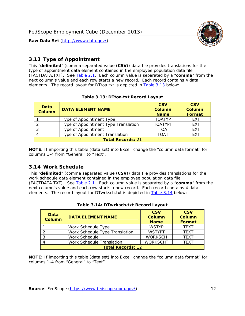

### <span id="page-12-0"></span>*3.13 Type of Appointment*

This "**delimited**" (comma separated value (**CSV**)) data file provides translations for the type of appointment data element contained in the employee population data file (FACTDATA.TXT). See [Table 2.1](#page-4-1). Each column value is separated by a "**comma**" from the next column's value and each row starts a new record. Each record contains 4 data elements. The record layout for DTtoa.txt is depicted in [Table 3.13](#page-12-4) below:

<span id="page-12-4"></span><span id="page-12-2"></span>

| Data<br><b>Column</b> | <b>DATA ELEMENT NAME</b>             | <b>CSV</b><br><b>Column</b><br><b>Name</b> | <b>CSV</b><br><b>Column</b><br>Format |
|-----------------------|--------------------------------------|--------------------------------------------|---------------------------------------|
|                       | Type of Appointment Type             | <b>TOATYP</b>                              | <b>TEXT</b>                           |
|                       | Type of Appointment Type Translation | <b>TOATYPT</b>                             | <b>TEXT</b>                           |
|                       | Type of Appointment                  | TOA                                        | <b>TEXT</b>                           |
|                       | Type of Appointment Translation      | TOAT                                       | <b>TFXT</b>                           |
|                       | <b>Total Records: 21</b>             |                                            |                                       |

#### **Table 3.13: DTtoa.txt Record Layout**

**NOTE**: If importing this table (data set) into Excel, change the "column data format" for columns 1-4 from "General" to "Text".

#### <span id="page-12-1"></span>*3.14 Work Schedule*

<span id="page-12-5"></span>This "**delimited**" (comma separated value (**CSV**)) data file provides translations for the work schedule data element contained in the employee population data file (FACTDATA.TXT). See [Table 2.1](#page-4-1). Each column value is separated by a "**comma**" from the next column's value and each row starts a new record. Each record contains 4 data elements. The record layout for DTwrksch.txt is depicted in [Table 3.14](#page-12-5) below:

<span id="page-12-3"></span>

| Data<br><b>Column</b>    | <b>DATA ELEMENT NAME</b>       | <b>CSV</b><br>Column<br><b>Name</b> | <b>CSV</b><br><b>Column</b><br><b>Format</b> |  |
|--------------------------|--------------------------------|-------------------------------------|----------------------------------------------|--|
|                          | Work Schedule Type             | <b>WSTYP</b>                        | <b>TEXT</b>                                  |  |
|                          | Work Schedule Type Translation | <b>WSTYPT</b>                       | <b>TFXT</b>                                  |  |
| 3                        | Work Schedule                  | <b>WORKSCH</b>                      | <b>TFXT</b>                                  |  |
|                          | Work Schedule Translation      | <b>WORKSCHT</b>                     | <b>TFXT</b>                                  |  |
| <b>Total Records: 12</b> |                                |                                     |                                              |  |

|  | Table 3.14: DTwrksch.txt Record Layout |  |
|--|----------------------------------------|--|
|  |                                        |  |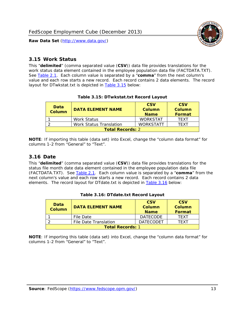

#### <span id="page-13-0"></span>*3.15 Work Status*

<span id="page-13-4"></span><span id="page-13-2"></span>This "**delimited**" (comma separated value (**CSV**)) data file provides translations for the work status data element contained in the employee population data file (FACTDATA.TXT). See [Table 2.1](#page-4-1). Each column value is separated by a "**comma**" from the next column's value and each row starts a new record. Each record contains 2 data elements. The record layout for DTwkstat.txt is depicted in [Table 3.15](#page-13-4) below:

| Data<br><b>Column</b>   | <b>DATA ELEMENT NAME</b>       | <b>CSV</b><br>Column<br><b>Name</b> | <b>CSV</b><br>Column<br><b>Format</b> |
|-------------------------|--------------------------------|-------------------------------------|---------------------------------------|
|                         | <b>Work Status</b>             | <b>WORKSTAT</b>                     | TFXT                                  |
|                         | <b>Work Status Translation</b> | <b>WORKSTATT</b>                    | TFXT                                  |
| <b>Total Records: 2</b> |                                |                                     |                                       |

#### **Table 3.15: DTwkstat.txt Record Layout**

**NOTE**: If importing this table (data set) into Excel, change the "column data format" for columns 1-2 from "General" to "Text".

#### <span id="page-13-1"></span>*3.16 Date*

<span id="page-13-5"></span><span id="page-13-3"></span>This "**delimited**" (comma separated value (**CSV**)) data file provides translations for the status file month date data element contained in the employee population data file (FACTDATA.TXT). See [Table 2.1](#page-4-1). Each column value is separated by a "**comma**" from the next column's value and each row starts a new record. Each record contains 2 data elements. The record layout for DTdate.txt is depicted in [Table 3.16](#page-13-5) below:

| Data<br><b>Column</b>   | <b>DATA ELEMENT NAME</b> | <b>CSV</b><br>Column<br><b>Name</b> | <b>CSV</b><br>Column<br><b>Format</b> |
|-------------------------|--------------------------|-------------------------------------|---------------------------------------|
|                         | File Date                | <b>DATECODE</b>                     | TFXT                                  |
|                         | File Date Translation    | <b>DATECODET</b>                    | TFXT                                  |
| <b>Total Records: 1</b> |                          |                                     |                                       |

**Table 3.16: DTdate.txt Record Layout**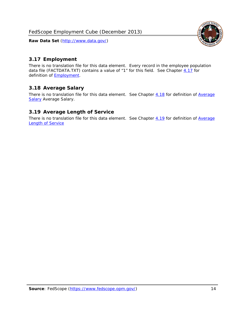

### <span id="page-14-0"></span>*3.17 Employment*

There is no translation file for this data element. Every record in the employee population data file (FACTDATA.TXT) contains a value of "1" for this field. See Chapter [4.17](#page-16-8) for definition of **Employment**.

#### <span id="page-14-1"></span>*3.18 Average Salary*

There is no translation file for this data element. See Chapter [4.18](#page-17-1) for definition of [Average](#page-17-1) **[Salary](#page-17-1) [Average Salary.](#page-17-1)** 

#### <span id="page-14-2"></span>*3.19 Average Length of Service*

There is no translation file for this data element. See Chapter [4.19](#page-17-2) for definition of [Average](#page-17-2) Length of Service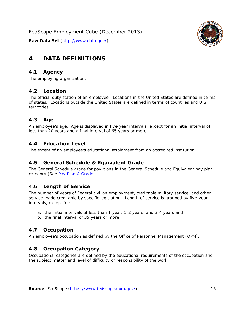

# <span id="page-15-0"></span>**4 DATA DEFINITIONS**

#### <span id="page-15-1"></span>*4.1 Agency*

The employing organization.

#### <span id="page-15-2"></span>*4.2 Location*

The official duty station of an employee. Locations in the United States are defined in terms of states. Locations outside the United States are defined in terms of countries and U.S. territories.

#### <span id="page-15-3"></span>*4.3 Age*

An employee's age. Age is displayed in five-year intervals, except for an initial interval of less than 20 years and a final interval of 65 years or more.

#### <span id="page-15-4"></span>*4.4 Education Level*

The extent of an employee's educational attainment from an accredited institution.

#### <span id="page-15-5"></span>*4.5 General Schedule & Equivalent Grade*

The General Schedule grade for pay plans in the General Schedule and Equivalent pay plan category (See [Pay Plan & Grade](#page-16-0)).

#### <span id="page-15-6"></span>*4.6 Length of Service*

The number of years of Federal civilian employment, creditable military service, and other service made creditable by specific legislation. Length of service is grouped by five-year intervals, except for:

- a. the initial intervals of less than 1 year, 1-2 years, and 3-4 years and
- b. the final interval of 35 years or more.

#### <span id="page-15-7"></span>*4.7 Occupation*

An employee's occupation as defined by the Office of Personnel Management (OPM).

#### <span id="page-15-8"></span>*4.8 Occupation Category*

Occupational categories are defined by the educational requirements of the occupation and the subject matter and level of difficulty or responsibility of the work.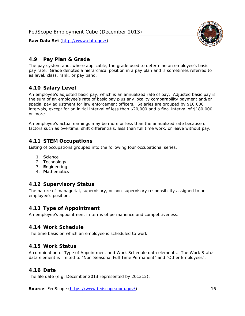

## <span id="page-16-0"></span>*4.9 Pay Plan & Grade*

The pay system and, where applicable, the grade used to determine an employee's basic pay rate. Grade denotes a hierarchical position in a pay plan and is sometimes referred to as level, class, rank, or pay band.

## <span id="page-16-1"></span>*4.10 Salary Level*

An employee's adjusted basic pay, which is an annualized rate of pay. Adjusted basic pay is the sum of an employee's rate of basic pay plus any locality comparability payment and/or special pay adjustment for law enforcement officers. Salaries are grouped by \$10,000 intervals, except for an initial interval of less than \$20,000 and a final interval of \$180,000 or more.

An employee's actual earnings may be more or less than the annualized rate because of factors such as overtime, shift differentials, less than full time work, or leave without pay.

#### <span id="page-16-2"></span>*4.11 STEM Occupations*

Listing of occupations grouped into the following four occupational series:

- 1. **S**cience
- 2. **T**echnology
- 3. **E**ngineering
- 4. **M**athematics

#### <span id="page-16-3"></span>*4.12 Supervisory Status*

The nature of managerial, supervisory, or non-supervisory responsibility assigned to an employee's position.

#### <span id="page-16-4"></span>*4.13 Type of Appointment*

An employee's appointment in terms of permanence and competitiveness.

#### <span id="page-16-5"></span>*4.14 Work Schedule*

The time basis on which an employee is scheduled to work.

#### <span id="page-16-6"></span>*4.15 Work Status*

A combination of Type of Appointment and Work Schedule data elements. The Work Status data element is limited to "Non-Seasonal Full Time Permanent" and "Other Employees".

#### <span id="page-16-7"></span>*4.16 Date*

<span id="page-16-8"></span>The file date (e.g. December 2013 represented by 201312).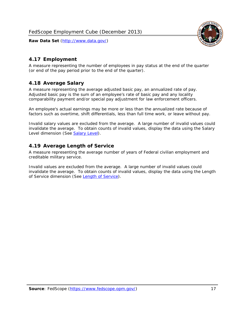

# <span id="page-17-0"></span>*4.17 Employment*

A measure representing the number of employees in pay status at the end of the quarter (or end of the pay period prior to the end of the quarter).

## <span id="page-17-1"></span>*4.18 Average Salary*

A measure representing the average adjusted basic pay, an annualized rate of pay. Adjusted basic pay is the sum of an employee's rate of basic pay and any locality comparability payment and/or special pay adjustment for law enforcement officers.

An employee's actual earnings may be more or less than the annualized rate because of factors such as overtime, shift differentials, less than full time work, or leave without pay.

Invalid salary values are excluded from the average. A large number of invalid values could invalidate the average. To obtain counts of invalid values, display the data using the Salary Level dimension (See [Salary Level\)](#page-16-1).

## <span id="page-17-2"></span>*4.19 Average Length of Service*

A measure representing the average number of years of Federal civilian employment and creditable military service.

Invalid values are excluded from the average. A large number of invalid values could invalidate the average. To obtain counts of invalid values, display the data using the Length of Service dimension (See [Length of Service](#page-15-6)).